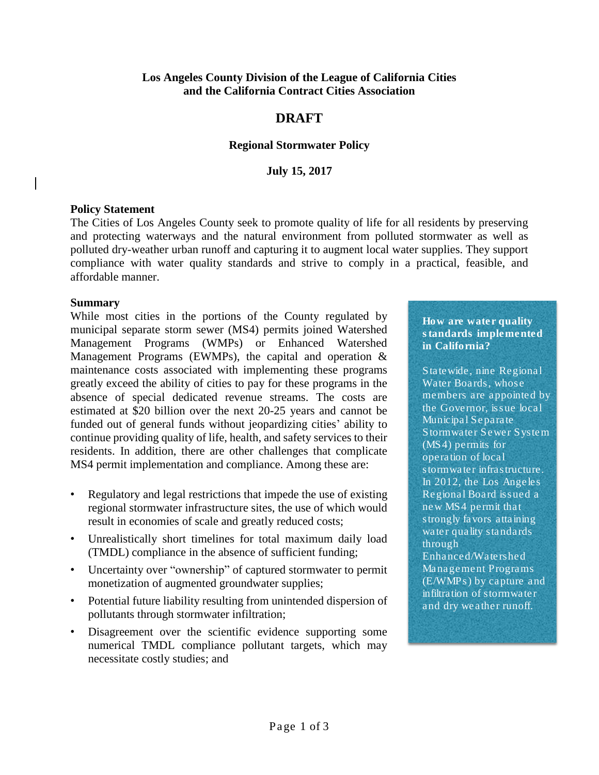### **Los Angeles County Division of the League of California Cities and the California Contract Cities Association**

# **DRAFT**

### **Regional Stormwater Policy**

### **July 15, 2017**

### **Policy Statement**

The Cities of Los Angeles County seek to promote quality of life for all residents by preserving and protecting waterways and the natural environment from polluted stormwater as well as polluted dry-weather urban runoff and capturing it to augment local water supplies. They support compliance with water quality standards and strive to comply in a practical, feasible, and affordable manner.

#### **Summary**

While most cities in the portions of the County regulated by municipal separate storm sewer (MS4) permits joined Watershed Management Programs (WMPs) or Enhanced Watershed Management Programs (EWMPs), the capital and operation & maintenance costs associated with implementing these programs greatly exceed the ability of cities to pay for these programs in the absence of special dedicated revenue streams. The costs are estimated at \$20 billion over the next 20-25 years and cannot be funded out of general funds without jeopardizing cities' ability to continue providing quality of life, health, and safety services to their residents. In addition, there are other challenges that complicate MS4 permit implementation and compliance. Among these are:

- Regulatory and legal restrictions that impede the use of existing regional stormwater infrastructure sites, the use of which would result in economies of scale and greatly reduced costs;
- Unrealistically short timelines for total maximum daily load (TMDL) compliance in the absence of sufficient funding;
- Uncertainty over "ownership" of captured stormwater to permit monetization of augmented groundwater supplies;
- Potential future liability resulting from unintended dispersion of pollutants through stormwater infiltration;
- Disagreement over the scientific evidence supporting some numerical TMDL compliance pollutant targets, which may necessitate costly studies; and

How are water quality standards implemented in California?

Statewide, nine Regional Water Boards, whose members are appointed by the Governor, issue local Municipal Separate Stormwater Sewer System (MS4) permits for operation of local stormwater infrastructure. In 2012, the Los Angeles Regional Board issued a new MS4 permit that strongly favors attaining water quality standards through

Enhanced/Watershed Management Programs (E/WMPs) by capture and infiltration of stormwater and dry weather runoff.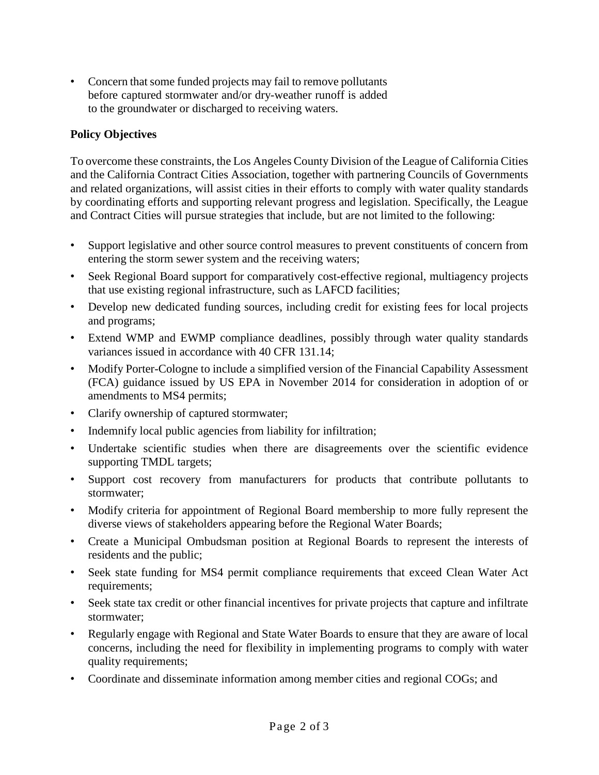• Concern that some funded projects may fail to remove pollutants before captured stormwater and/or dry-weather runoff is added to the groundwater or discharged to receiving waters.

## **Policy Objectives**

To overcome these constraints, the Los Angeles County Division of the League of California Cities and the California Contract Cities Association, together with partnering Councils of Governments and related organizations, will assist cities in their efforts to comply with water quality standards by coordinating efforts and supporting relevant progress and legislation. Specifically, the League and Contract Cities will pursue strategies that include, but are not limited to the following:

- Support legislative and other source control measures to prevent constituents of concern from entering the storm sewer system and the receiving waters;
- Seek Regional Board support for comparatively cost-effective regional, multiagency projects that use existing regional infrastructure, such as LAFCD facilities;
- Develop new dedicated funding sources, including credit for existing fees for local projects and programs;
- Extend WMP and EWMP compliance deadlines, possibly through water quality standards variances issued in accordance with 40 CFR 131.14;
- Modify Porter-Cologne to include a simplified version of the Financial Capability Assessment (FCA) guidance issued by US EPA in November 2014 for consideration in adoption of or amendments to MS4 permits;
- Clarify ownership of captured stormwater;
- Indemnify local public agencies from liability for infiltration;
- Undertake scientific studies when there are disagreements over the scientific evidence supporting TMDL targets;
- Support cost recovery from manufacturers for products that contribute pollutants to stormwater;
- Modify criteria for appointment of Regional Board membership to more fully represent the diverse views of stakeholders appearing before the Regional Water Boards;
- Create a Municipal Ombudsman position at Regional Boards to represent the interests of residents and the public;
- Seek state funding for MS4 permit compliance requirements that exceed Clean Water Act requirements;
- Seek state tax credit or other financial incentives for private projects that capture and infiltrate stormwater;
- Regularly engage with Regional and State Water Boards to ensure that they are aware of local concerns, including the need for flexibility in implementing programs to comply with water quality requirements;
- Coordinate and disseminate information among member cities and regional COGs; and